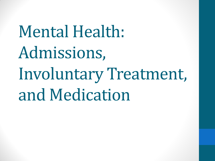Mental Health: Admissions, Involuntary Treatment, and Medication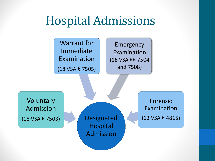## Hospital Admissions

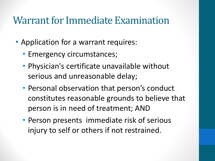### Warrant for Immediate Examination

- Application for a warrant requires:
	- Emergency circumstances;
	- Physician's certificate unavailable without serious and unreasonable delay;
	- Personal observation that person's conduct constitutes reasonable grounds to believe that person is in need of treatment; AND
	- Person presents immediate risk of serious injury to self or others if not restrained.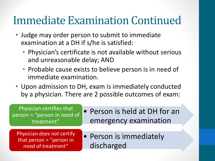## Immediate Examination Continued

- Judge may order person to submit to immediate examination at a DH if s/he is satisfied:
	- Physician's certificate is not available without serious and unreasonable delay; AND
	- Probable cause exists to believe person is in need of immediate examination.
- Upon admission to DH, exam is immediately conducted by a physician. There are 2 possible outcomes of exam:

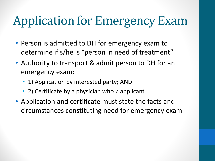# Application for Emergency Exam

- Person is admitted to DH for emergency exam to determine if s/he is "person in need of treatment"
- Authority to transport & admit person to DH for an emergency exam:
	- 1) Application by interested party; AND
	- 2) Certificate by a physician who ≠ applicant
- Application and certificate must state the facts and circumstances constituting need for emergency exam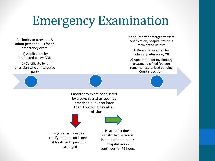# Emergency Examination

Authority to transport & admit person to DH for an emergency exam:

1) Application by interested party; AND

2) Certificate by a physician who ≠ interested party





1) Person is accepted for voluntary admission; OR

2) Application for involuntary treatment is filed (person remains hospitalized pending Court's decision)

Emergency exam conducted by a psychiatrist as soon as practicable, but no later than 1 working day after admission



Psychiatrist *does not*  certify that person is need of treatment= person is discharged

Psychiatrist does certify that person is in need of treatment= hospitalization continues for 72 hours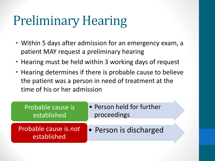# Preliminary Hearing

- Within 5 days after admission for an emergency exam, a patient MAY request a preliminary hearing
- Hearing must be held within 3 working days of request
- Hearing determines if there is probable cause to believe the patient was a person in need of treatment at the time of his or her admission

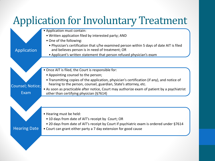## Application for Involuntary Treatment

• Application must contain:

- Written application filed by interested party; AND
- One of the following:
- Application

Counsel; Notice;

Exam

Hearing Date

- Physician's certification that s/he examined person within 5 days of date AIT is filed and believes person is in need of treatment; OR
- Applicant's written statement that person refused physician's exam
- Once AIT is filed, the Court is responsible for:
	- Appointing counsel to the person;
	- Transmitting copies of the application, physician's certification (if any), and notice of hearing to the person, counsel, guardian, State's attorney, etc.
- As soon as practicable after notice, Court may authorize exam of patient by a psychiatrist other than certifying physician (§7614)

• Hearing must be held:

- 10 days from date of AIT's receipt by Court; OR
- 20 days from date of AIT's receipt by Court if psychiatric exam is ordered under §7614
- Court can grant either party a 7 day extension for good cause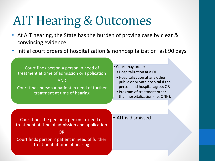# AIT Hearing & Outcomes

- At AIT hearing, the State has the burden of proving case by clear & convincing evidence
- Initial court orders of hospitalization & nonhospitalization last 90 days

Court finds person = person in need of treatment at time of admission or application

AND

Court finds person = patient in need of further treatment at time of hearing

• Court may order:

- •Hospitalization at a DH;
- •Hospitalization at any other public or private hospital if the person and hospital agree; OR
- Program of treatment other than hospitalization (i.e. ONH).

Court finds the person ≠ person in need of  $\bullet$  AIT is dismissed treatment at time of admission and application

OR

Court finds person  $\neq$  patient in need of further treatment at time of hearing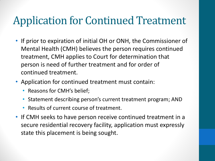## Application for Continued Treatment

- If prior to expiration of initial OH or ONH, the Commissioner of Mental Health (CMH) believes the person requires continued treatment, CMH applies to Court for determination that person is need of further treatment and for order of continued treatment.
- Application for continued treatment must contain:
	- Reasons for CMH's belief;
	- Statement describing person's current treatment program; AND
	- Results of current course of treatment.
- If CMH seeks to have person receive continued treatment in a secure residential recovery facility, application must expressly state this placement is being sought.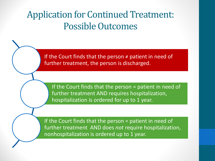### Application for Continued Treatment: Possible Outcomes

If the Court finds that the person  $\neq$  patient in need of further treatment, the person is discharged.

If the Court finds that the person = patient in need of further treatment AND requires hospitalization, hospitalization is ordered for up to 1 year.

If the Court finds that the person = patient in need of further treatment AND does *not* require hospitalization, nonhospitalization is ordered up to 1 year.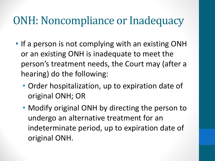### ONH: Noncompliance or Inadequacy

- If a person is not complying with an existing ONH or an existing ONH is inadequate to meet the person's treatment needs, the Court may (after a hearing) do the following:
	- Order hospitalization, up to expiration date of original ONH; OR
	- Modify original ONH by directing the person to undergo an alternative treatment for an indeterminate period, up to expiration date of original ONH.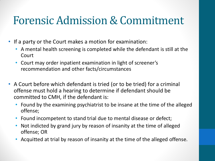## Forensic Admission & Commitment

- If a party or the Court makes a motion for examination:
	- A mental health screening is completed while the defendant is still at the Court
	- Court may order inpatient examination in light of screener's recommendation and other facts/circumstances
- A Court before which defendant is tried (or to be tried) for a criminal offense must hold a hearing to determine if defendant should be committed to CMH, if the defendant is:
	- Found by the examining psychiatrist to be insane at the time of the alleged offense;
	- Found incompetent to stand trial due to mental disease or defect;
	- Not indicted by grand jury by reason of insanity at the time of alleged offense; OR
	- Acquitted at trial by reason of insanity at the time of the alleged offense.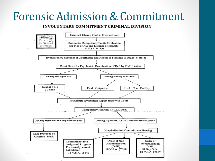### Forensic Admission & Commitment

### INVOLUNTARY COMMITMENT CRIMINAL DIVISION

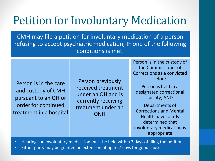## Petition for Involuntary Medication

CMH may file a petition for involuntary medication of a person refusing to accept psychiatric medication, IF one of the following conditions is met:

Person is in the care and custody of CMH pursuant to an OH or order for continued treatment in a hospital

Person previously received treatment under an OH and is currently receiving treatment under an **ONH** 

Person is in the custody of the Commissioner of Corrections as a convicted felon;

Person is held in a designated correctional facility; AND

Departments of Corrections and Mental Health have jointly determined that involuntary medication is appropriate

• Hearings on involuntary medication must be held within 7 days of filing the petition

• Either party may be granted an extension of up to 7 days for good cause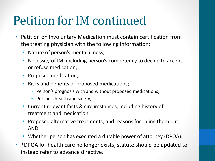## Petition for IM continued

- Petition on Involuntary Medication must contain certification from the treating physician with the following information:
	- Nature of person's mental illness;
	- Necessity of IM, including person's competency to decide to accept or refuse medication;
	- Proposed medication;
	- Risks and benefits of proposed medications;
		- Person's prognosis with and without proposed medications;
		- Person's health and safety;
	- Current relevant facts & circumstances, including history of treatment and medication;
	- Proposed alternative treatments, and reasons for ruling them out; AND
	- Whether person has executed a durable power of attorney (DPOA).
- \*DPOA for health care no longer exists; statute should be updated to instead refer to advance directive.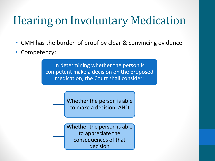## Hearing on Involuntary Medication

- CMH has the burden of proof by clear & convincing evidence
- Competency:

In determining whether the person is competent make a decision on the proposed medication, the Court shall consider:

> Whether the person is able to make a decision; AND

Whether the person is able to appreciate the consequences of that decision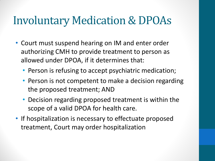## Involuntary Medication & DPOAs

- Court must suspend hearing on IM and enter order authorizing CMH to provide treatment to person as allowed under DPOA, if it determines that:
	- Person is refusing to accept psychiatric medication;
	- Person is not competent to make a decision regarding the proposed treatment; AND
	- Decision regarding proposed treatment is within the scope of a valid DPOA for health care.
- If hospitalization is necessary to effectuate proposed treatment, Court may order hospitalization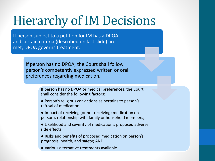# Hierarchy of IM Decisions

If person subject to a petition for IM has a DPOA and certain criteria (described on last slide) are met, DPOA governs treatment.

> If person has no DPOA, the Court shall follow person's competently expressed written or oral preferences regarding medication.

> > If person has no DPOA or medical preferences, the Court shall consider the following factors:

- Person's religious convictions as pertains to person's refusal of medication;
- Impact of receiving (or not receiving) medication on person's relationship with family or household members;
- Likelihood and severity of medication's proposed adverse side effects;
- Risks and benefits of proposed medication on person's prognosis, health, and safety; AND
- Various alternative treatments available.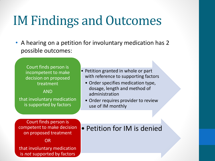# IM Findings and Outcomes

• A hearing on a petition for involuntary medication has 2 possible outcomes:

Court finds person is incompetent to make decision on proposed treatment

AND

that involuntary medication is supported by factors

• Petition granted in whole or part with reference to supporting factors

- Order specifies medication type, dosage, length and method of administration
- Order requires provider to review use of IM monthly

Court finds person is competent to make decision on proposed treatment

OR

that involuntary medication is *not* supported by factors

### • Petition for IM is denied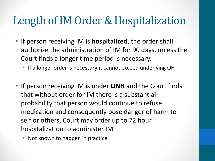### Length of IM Order & Hospitalization

- If person receiving IM is **hospitalized**, the order shall authorize the administration of IM for 90 days, unless the Court finds a longer time period is necessary.
	- If a longer order is necessary it cannot exceed underlying OH
- If person receiving IM is under **ONH** and the Court finds that without order for IM there is a substantial probability that person would continue to refuse medication and consequently pose danger of harm to self or others, Court may order up to 72 hour hospitalization to administer IM
	- Not known to happen in practice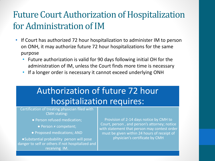### Future Court Authorization of Hospitalization for Administration of IM

- If Court has authorized 72 hour hospitalization to administer IM to person on ONH, it may authorize future 72 hour hospitalizations for the same purpose
	- Future authorization is valid for 90 days following initial OH for the administration of IM, unless the Court finds more time is necessary
	- If a longer order is necessary it cannot exceed underlying ONH

### Authorization of future 72 hour hospitalization requires:

Certification of treating physician filed with CMH stating:

- Person refused medication;
	- Person ≠ competent;
- Proposed medications; AND

●Substantial probability person will pose danger to self or others if not hospitalized and receiving IM.

Provision of 2-14 days notice by CMH to Court, person , and person's attorney; notice with statement that person may contest order must be given within 24 hours of receipt of physician's certificate by CMH